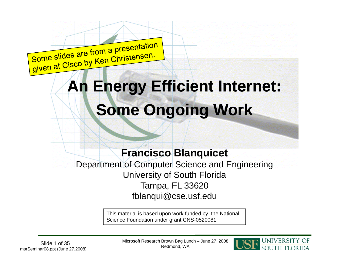

# **An Energy Efficient Internet: Some Ongoing Work**

#### **Francisco Blanquicet Blanquicet**

Department of Computer Science and Engineering University of South Florida Tampa, FL 33620 fblanqui@cse.usf.edu

> This material is based upon work funded by the National Science Foundation under grant CNS-0520081.



Microsoft Research Brown Bag Lunch – June 27, 2008 Redmond, WA Slide 1 of 35

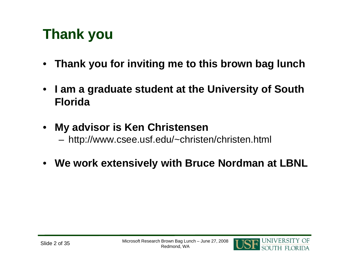## **Thank you**

- $\bullet$ **Thank you for inviting me to this brown bag lunch**
- • **I am a graduate student at the University of South Florida**
- • **My advisor is Ken Christensen** –http://www.csee.usf.edu/~christen/christen.html
- $\bullet$ **We work extensively with Bruce Nordman at LBNL**

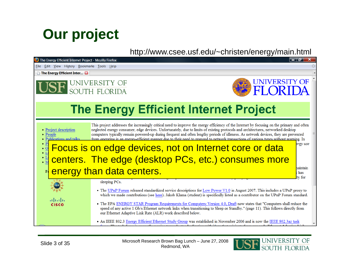#### **Our project**

#### http://www.csee.usf.edu/~christen/energy/main.html



Microsoft Research Brown Bag Lunch – June 27, 2008 Redmond, WA Slide 3 of 35

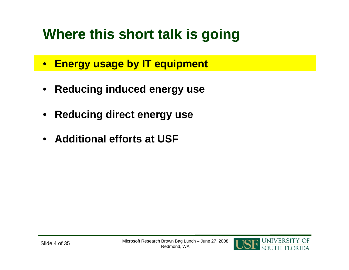# **Where this short talk is going**

- **Energy usage by IT equipment**
- **Reducing induced energy use**
- $\bullet$ **Reducing direct energy use**
- **Additional efforts at USF**

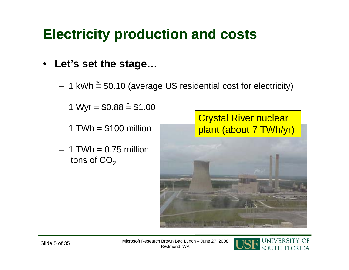#### **Electricity production and costs**

#### • **Let's set the stage…**

- 1 kWh  $\stackrel{\sim }{=}\, \$0.10$  (average US residential cost for electricity) – 1 kWh  $\tilde{=}$  \$0.10 (average US residential cost for electricity
- 1 Wyr =  $$0.88 \stackrel{\sim}{=} $1.00$
- $-$  1 TWh  $=$  \$100 million
- $-$  1 TWh = 0.75 million tons of  $\mathsf{CO}_2$



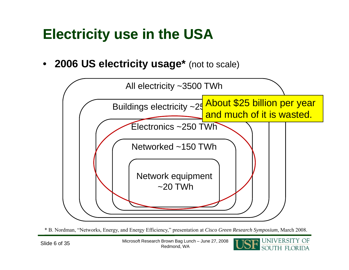#### **Electricity use in the USA**

 $\bullet$ **2006 US electricity usage\*** (not to scale)



\* B. Nordman, "Networks, Energy, and Energy Efficiency," presentation at *Cisco Green Research Symposium*, March 2008.

Microsoft Research Brown Bag Lunch – June 27, 2008 Redmond, WA Slide 6 of 35

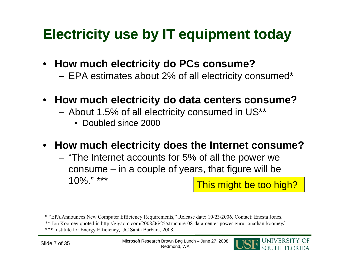#### **Electricity use by IT equipment today**

- **How much electricity do PCs consume?**
	- –EPA estimates about 2% of all electricity consumed\*
- **How much electricity do data centers consume?**
	- – About 1.5% of all electricity consumed in US\*\*
		- Doubled since 2000
- **How much electricity does the Internet consume?**
	- – "The Internet accounts for 5% of all the power we consume – in a couple of years, that figure will be 10%." \*\*\* This might be too high?

\* "EPA Announces New Computer Efficiency Requirements," Release date: 10/23/2006, Contact: Enesta Jones.

\*\* Jon Koomey quoted in http://gigaom.com/2008/06/25/structure-08-data-center-power-guru-jonathan-koomey/

\*\*\* Institute for Energy Efficiency, UC Santa Barbara, 2008.

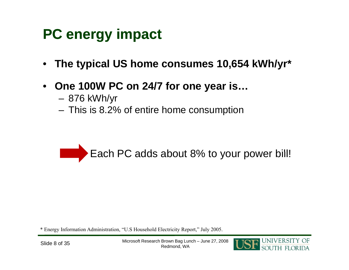## **PC energy impact**

- $\bullet$ **The typical US home consumes 10,654 kWh/yr\***
- $\bullet$  **O 100W PC 24/7 f i One PC on for one year is…**
	- –876 kWh/yr
	- –This is 8.2% of entire home consumption



\* Energy Information Administration, "U.S Household Electricity Report," July 2005.

Microsoft Research Brown Bag Lunch – June 27, 2008 Redmond, WA Slide 8 of 35

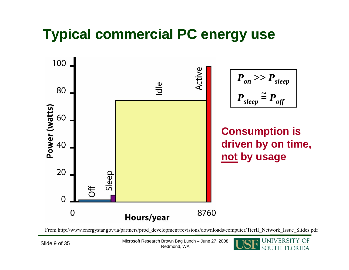## **Typical commercial PC energy use**



From http://www.energystar.gov/ia/partners/prod\_development/revisions/downloads/computer/TierII\_Network\_Issue\_Slides.pdf

Microsoft Research Brown Bag Lunch – June 27, 2008 Slide 9 of 35 Microsoft Research Brown Bag Lur<br>Redmond, WA

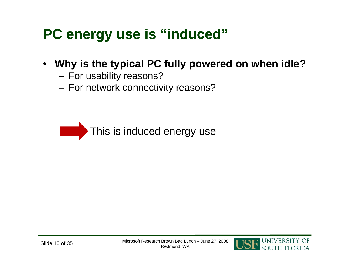#### **PC energy use is "induced"**

- **Why is the typical PC fully powered on when idle?**
	- –For usability reasons?
	- –– For network connectivity reasons?

This is induced energy use

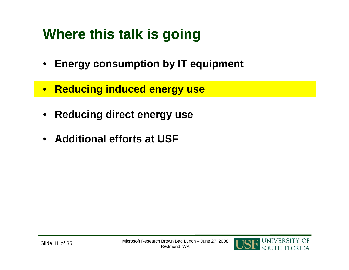# **Where this talk is going**

- **Energy consumption by IT equipment**
- •**Reducing induced energy use**
- $\bullet$ **Reducing direct energy use**
- **Additional efforts at USF**

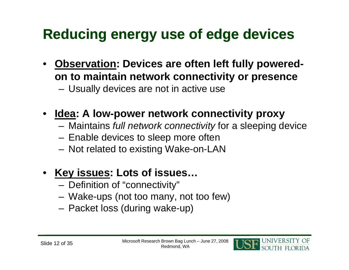# **Reducing energy use of edge devices**

- **Observation: Devices are often left fully poweredon to maintain network connectivity or presence**
	- –Usually devices are not in active use
- Idea: A low-power network connectivity proxy
	- –Maintains *full network connectivity* for a sleeping device
	- –Enable devices to sleep more often
	- –– Not related to existing Wake-on-LAN
- **Key issues: Lots of issues…**
	- Definition of "connectivity"
	- –Wake-ups (not too many, not too few)
	- –Packet loss (during wake-up)

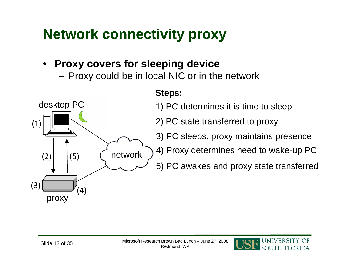## **Network connectivity proxy**

#### •**Proxy covers for sleeping device**

–Proxy could be in local NIC or in the network



#### **Steps:**

1) PC determines it is time to sleep

2) PC state transferred to proxy

3) PC sleeps, proxy maintains presence

5) PC awakes and proxy state transferred

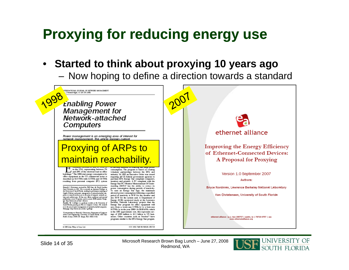#### **Proxying for reducing energy use**

#### •**Started to think about proxying 10 years ago**

–Now hoping to define a direction towards a standard



Microsoft Research Brown Bag Lunch – June 27, 2008 Redmond, WA Slide 14 of 35

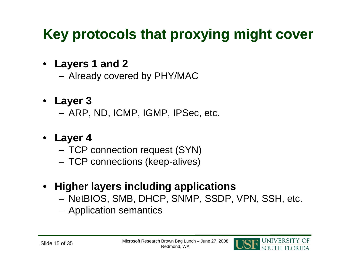# **Key protocols that proxying might cover**

- **Layers 1 and 2**
	- –Already covered by PHY/MAC
- **Layer 3**
	- –ARP, ND, ICMP, IGMP, IPSec, etc.
- **Layer 4**
	- – $-$  TCP connection request (SYN)
	- –TCP connections (keep-alives)
- **Higher layers including applications**
	- –NetBIOS, SMB, DHCP, SNMP, SSDP, VPN, SSH, etc.
	- –Application semantics

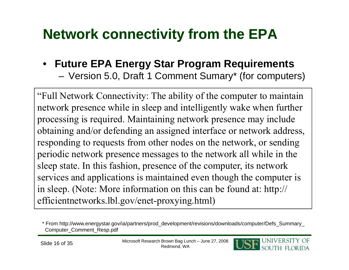## **Network connectivity from the EPA**

#### • **Future EPA Energy Star Program Requirements**

–Version 5.0, Draft 1 Comment Sumary\* (for computers)

"Full Network Connectivity: The ability of the computer to maintain network presence while in sleep and intelligently wake when further processing is required. Maintaining network presence may include obtaining and/or defending an assigned interface or network address, responding to requests from other nodes on the network, or sending periodic network presence messages to the network all while in the sleep state. In this fashion, presence of the computer, its network services and applications is maintained even though the computer is in sleep. (Note: More information on this can be found at: http:// efficientnetworks.lbl.gov/enet-proxying.html)



<sup>\*</sup> From http://www.energystar.gov/ia/partners/prod\_development/revisions/downloads/computer/Defs\_Summary\_ Computer\_Comment\_Resp.pdf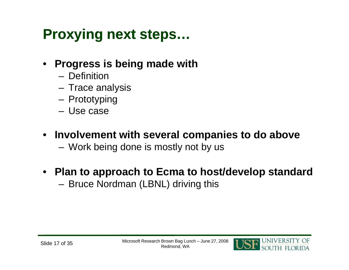## **Proxying next steps...**

- • **Progress is being made with**
	- Definition
	- –– Trace analysis
	- –Prototyping
	- Use case
- **Involvement with several companies to do above**
	- –– Work being done is mostly not by us
- **Plan to approach to Ecma to host/develop standard**
	- –– Bruce Nordman (LBNL) driving this

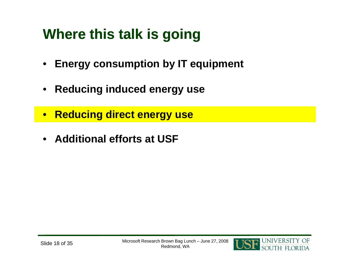# **Where this talk is going**

- $\bullet$ **Energy consumption by IT equipment**
- **Reducing induced energy use**
- $\bullet$ **Reducing direct energy use**
- **Additional efforts at USF**

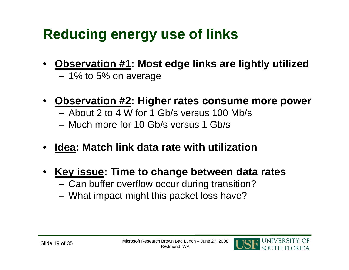## **Reducing energy use of links**

- **Observation #1: Most edge links are lightly utilized** –1% to 5% on average
- • **Observation #2: Higher rates consume more power**
	- About 2 to 4 W for 1 Gb/s versus 100 Mb/s
	- Much more for 10 Gb/s versus 1 Gb/s
- •**Idea: Match link data rate with utilization**
- **Key issue: Time to change between data rates**
	- – $-$  Can buffer overflow occur during transition?
	- –What impact might this packet loss have?

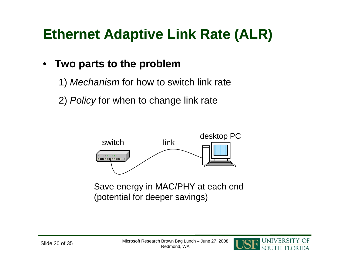# **Ethernet Adaptive Link Rate (ALR)**

#### $\bullet$ **Two parts to the problem**

- 1) *Mechanism* for how to switch link rate
- 2) *Policy* for when to change link rate



Save energy in MAC/PHY at each end (potential for deeper savings)

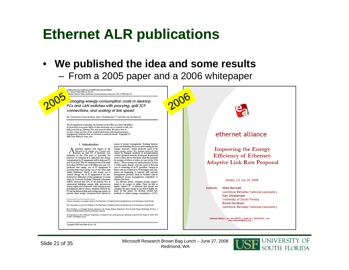#### **Ethernet ALR publications**

• **We published the idea and some results** –From a 2005 paper and a 2006 whitepaper

INTERNATIONAL JOURNAL OF NETWORK MANAGEMENT st. J. Network Mgret 2005; 13: 297–310<br>htbinbad online in Wiley InterScience (www.interacter.co.wiley.com). DOE 10.1002/nem.565

anaging energy consumption costs in desktop. PCs and LAN switches with proxying, split TCP connections, and scaling of link speed

By Chamara Gunaratne, Ken Christensen\*<sup>t</sup> and Bruce Nordman

The IT equipment comprising the Internet in the USA uses about \$6 billion<br>of electricity every year. Much of this electricity use is wasted on idle, but fully powered up, desktop PCs and network links. We show how to recover a large portion of the wasted electricity with improved power<br>management methods that are focused on network issues. Copyright © 2005 John Wiley & Sons, Ltd.

#### 1. Introduction

A growing expense and impact of the Internet is its energy use. Current estimates are that 2% of electricity consumption in the USA goes to powering the<br>Internet.<sup>1</sup> In Germany **z** is estimated that energy<br>consumption by IT equipment will be between 2% and 5% in 2010.<sup>2</sup> The 2% estimate for the USA totals more than 74TWh/year or \$6 billion per year. It is prodicted that energy use of IT equipment is growing faster than energy use of any other type<br>within buildings.<sup>3</sup> Much of this energy use is wasted. Energy use by IT equipment is not proportional to utilization of the equipment. A recent<br>study by Lawrence Berkeley National Laboratory (LENL) showed that 60% of all desktop PCs in commercial buildings remain fully powered-on<br>during nights and weekends<sup>4</sup> with existing power management almost always disabled. Beyond the PC are the Ethernet link and workgroup switch. At<br>present, these energy consumers have almost no

means of power management. Existing Internet protocols including discovery and routing are also energy unaware'; future protocols need to be made energy aware. For existing protocols that<br>cannot be changed, methods of accommodating current operation must be developed. In previous work we have shown that there edsts the potential for savings of billions of dollars per year in the USA alone.<sup>5-7</sup> These savings are summarized in Section 6 of this paper. Energy costs are a part of the total cost of ownership of an IT operation. Savings in these costs are of interest to II managers and companies are beginning to respond with network management products (such as Verdiem with its centralized power management controller<sup>9</sup>) to address this need.

An efficient device consumes energy proportional to its output or utility. Thus, an idle or lightly utilized PC or Ethernet link should not consume the same energy as one that is highly utilized. In this paper, we develop several new methods to reduce energy consumption of PCs,

Channel Guearates is a graduate student to the Department of Computer Science and Engineering at the University of Seath Florida. Kee Circulatures is an Ameriate Professor to the Department of Computer Science and Engineering at the University of South Florida.

Bruce Newtown is a Freezpal Roserok Associate in the Energy Analysis Department, Environmental Energy Technologies Division, of Laurence Berkeley National Leboratory Berkeley, Celifornia

"Comopordence to Ken Christenen, Department of Computer Science and Engineering, University of Seath Revisit, Tampa, FL 13620, USA<br>"E-mail: christen@canauf.edu

Copyright © 2005 John Wiley & Sons, Ltd.



Microsoft Research Brown Bag Lunch – June 27, 2008 Redmond, WA Slide 21 of 35

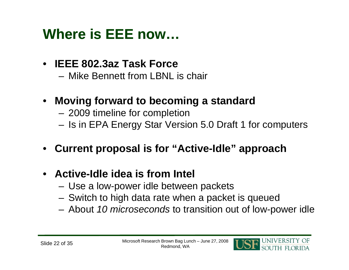#### **Where is EEE now…**

- **IEEE 802.3az Task Force**
	- Mike Bennett from LBNL is chair
- **Moving forward to becoming a standard**
	- 2009 timeline for com pletion
	- –Is in EPA Energy Star Version 5.0 Draft 1 for computers
- **Current proposal is for is "Active -Idle " approach**
- **Active-Idle idea is from Intel**
	- Use a low-power idle between packets
	- –Switch to high data rate when a packet is queued
	- –About *10 microseconds* to transition out of low-power idle

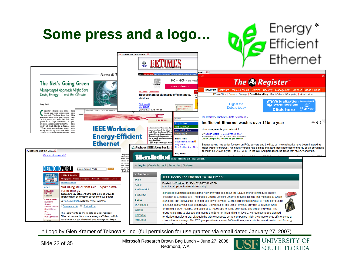

\* Logo by Glen Kramer of Teknovus, Inc. (full permission for use granted via email dated January 27, 2007)

Microsoft Research Brown Bag Lunch – June 27, 2008 Slide 23 of 35 MICrosoft Research Brown Bag Lur<br>Redmond, WA

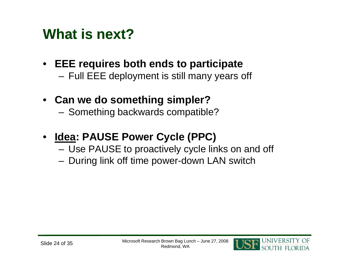#### **What is next?**

- **EEE requires both ends to participate**
	- –Full EEE deployment is still many years off
- **Can we do something simpler?**
	- –Something backwards compatible?
- • **Idea: PAUSE Power Cycle (PPC)**
	- –Use PAUSE to proactively cycle links on and off
	- –During link off time power-down LAN switch

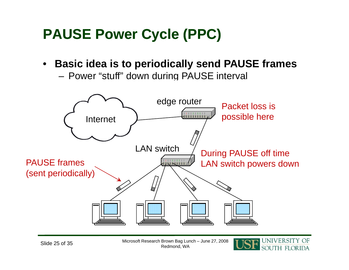## **PAUSE Power Cycle (PPC)**

•**Basic idea is to periodically send PAUSE frames**

–Power "stuff" down during PAUSE interval



Microsoft Research Brown Bag Lunch – June 27, 2008 Slide 25 of 35 Microsoft Research Brown Bag Lur<br>Redmond, WA

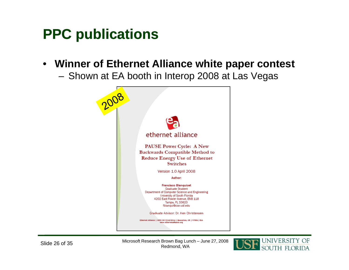#### **PPC publications**

• **Winner of Ethernet Alliance white paper contest**

–Shown at EA booth in Interop 2008 at Las Vegas



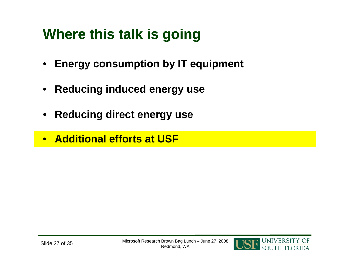# **Where this talk is going**

- **Energy consumption by IT equipment**
- $\bullet$ **Reducing induced energy use**
- $\bullet$ **Reducing direct energy use**
- **Additional efforts at USF**

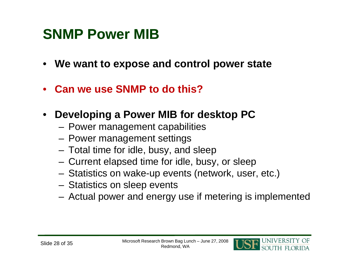#### **SNMP Power MIB**

- **We want to expose and control power state**
- $\bullet$ **Can we use SNMP to do this?**
- $\bullet$  **Developing <sup>a</sup> Power MIB for desktop PC for**
	- –Power management capabilities
	- –Power management settings
	- – $-$  Total time for idle, busy, and sleep
	- –Current elapsed time for idle, busy, or sleep
	- –Statistics on wake-up events (network, user, etc.)
	- – $-$  Statistics on sleep events
	- –Actual power and energy use if metering is implemented

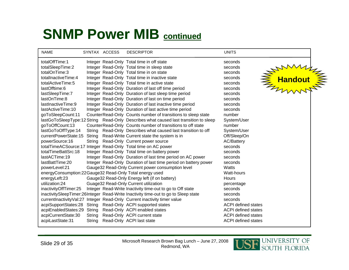#### **SNMP Power MIB continued**

| <b>NAME</b>                                             |        | SYNTAX ACCESS | <b>DESCRIPTOR</b>                                                                    | <b>UNITS</b>               |                  |  |
|---------------------------------------------------------|--------|---------------|--------------------------------------------------------------------------------------|----------------------------|------------------|--|
| totalOffTime:1                                          |        |               | Integer Read-Only Total time in off state                                            | seconds                    |                  |  |
| totalSleepTime:2                                        |        |               | Integer Read-Only Total time in sleep state                                          | seconds                    | <b>EXAMVALLE</b> |  |
| totalOnTime:3                                           |        |               | Integer Read-Only Total time in on state                                             | seconds                    |                  |  |
| totalInactiveTime:4                                     |        |               | Integer Read-Only Total time in inactive state                                       | seconds                    |                  |  |
| totalActiveTime:5                                       |        |               | Integer Read-Only Total time in active state                                         | seconds                    |                  |  |
| lastOfftime:6                                           |        |               | Integer Read-Only Duration of last off time period                                   | seconds                    |                  |  |
| lastSleepTime:7                                         |        |               | Integer Read-Only Duration of last sleep time period                                 | seconds                    |                  |  |
| lastOnTime:8                                            |        |               | Integer Read-Only Duration of last on time period                                    | seconds                    |                  |  |
| lastInactiveTime:9                                      |        |               | Integer Read-Only Duration of last inactive time period                              | seconds                    |                  |  |
| lastActiveTime:10                                       |        |               | Integer Read-Only Duration of last active time period                                | seconds                    |                  |  |
| goToSleepCount:11                                       |        |               | CounterRead-Only Counts number of transitions to sleep state                         | number                     |                  |  |
|                                                         |        |               | lastGoToSleepType:12 String Read-Only Describes what caused last transition to sleep | System/User                |                  |  |
| goToOffCount:13                                         |        |               | CounterRead-Only Counts number of transitions to off state                           | number                     |                  |  |
| lastGoToOffType:14                                      | String |               | Read-Only Describes what caused last transition to off                               | System/User                |                  |  |
| currentPowerState:15                                    | String |               | Read-Write Current state the system is in                                            | Off/Sleep/On               |                  |  |
| powerSource:16                                          |        |               | String Read-Only Current power source                                                | <b>AC/Battery</b>          |                  |  |
|                                                         |        |               | totalTimeACSource:17 Integer Read-Only Total time on AC power                        | seconds                    |                  |  |
| totalTimeBattSrc:18                                     |        |               | Integer Read-Only Total time on battery power                                        | seconds                    |                  |  |
| lastACTime:19                                           |        |               | Integer Read-Only Duration of last time period on AC power                           | seconds                    |                  |  |
| lastBattTime:20                                         |        |               | Integer Read-Only Duration of last time period on battery power                      | seconds                    |                  |  |
| powerLevel:21                                           |        |               | Gauge32 Read-Only Current power consumption level                                    | Watts                      |                  |  |
| energyConsumption:22Gauge32 Read-Only Total energy used |        |               |                                                                                      | Watt-hours                 |                  |  |
| energyLeft:23                                           |        |               | Gauge32 Read-Only Energy left (if on battery)                                        | Hours                      |                  |  |
| utilization:24                                          |        |               | Guage32 Read-Only Current utilization                                                | percentage                 |                  |  |
| inactivityOffTimer:25                                   |        |               | Integer Read-Write Inactivity time-out to go to Off state                            | seconds                    |                  |  |
|                                                         |        |               | inactivitySleepTimer:26Integer Read-Write Inactivity time-out to go to Sleep state   | seconds                    |                  |  |
|                                                         |        |               | currentlnactivityVal:27 Integer Read-Only Current inactivity timer value             | seconds                    |                  |  |
|                                                         |        |               | acpiSupportStates:28 String Read-Only ACPI supported states                          | <b>ACPI defined states</b> |                  |  |
| acpiEnabledStates:29 String                             |        |               | Read-Only ACPI enabled states                                                        | <b>ACPI defined states</b> |                  |  |
| acpiCurrentState:30                                     | String |               | Read-Only ACPI current state                                                         | <b>ACPI defined states</b> |                  |  |
| acpiLastState:31                                        | String |               | Read-Only ACPI last state                                                            | <b>ACPI defined states</b> |                  |  |

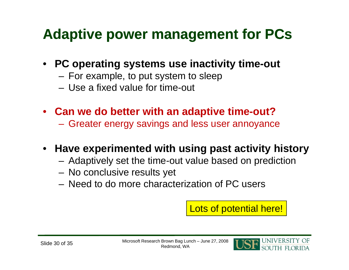#### **Adaptive power management for PCs**

- **PC operating systems use inactivity time-out**
	- –For example, to put system to sleep
	- Use a fixed value for time-out
- **Can we do better with an adaptive time-out?**
	- Greater energy savings and less user annoyance

#### • **Have experimented with using past activity history**

- –Adaptively set the time-out value based on prediction
- –No conclusive results yet
- $-$  Need to do more characterization of PC users

Lots of potential here!

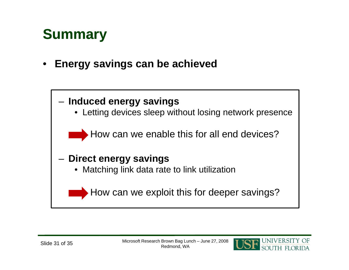#### **Summary**

 $\bullet$ **Energy savings can be achieved**



**JNIVERSI**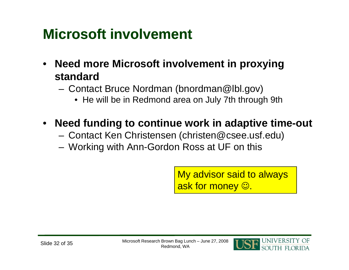## **Microsoft involvement**

- **Need more Microsoft involvement in proxying standard**
	- – Contact Bruce Nordman (bnordman@lbl.gov)
		- He will be in Redmond area on July 7th through 9th
- **Need funding to continue work in adaptive time-out**
	- –Contact Ken Christensen (christen@csee.usf.edu)
	- Workin g with Ann-Gordon Ross at UF on this

My advisor said to always ask for money  $\mathbb{\odot}.$ 

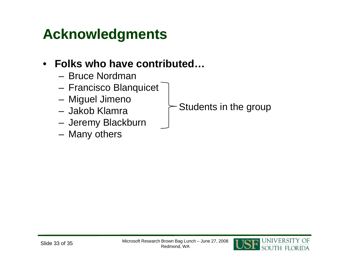#### **Acknowledgments**

#### $\bullet$ **Folks who have contributed…**

- Bruce Nordman
- –– Francisco Blanquicet
- –Miguel Jimeno
- Jakob Klamra
- –– Jeremy Blackburn
- –Many others

Students in the group

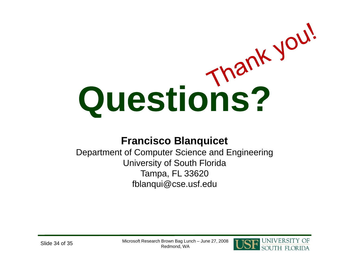# **Questions?**

#### **Francisco Blanquicet**

Department of Computer Science and Engineering University of South Florida Tampa, FL 33620 fblanqui@cse.usf.edu